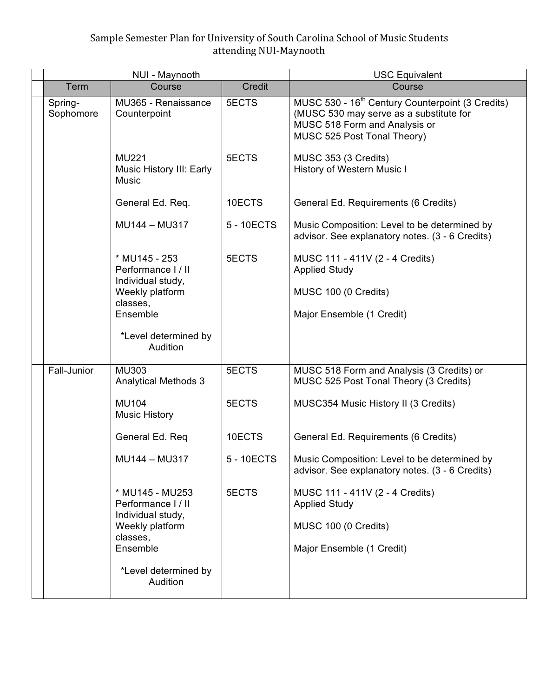# Sample Semester Plan for University of South Carolina School of Music Students attending NUI-Maynooth

| NUI - Maynooth       |                                                                             |            | <b>USC Equivalent</b>                                                                                                                                                   |
|----------------------|-----------------------------------------------------------------------------|------------|-------------------------------------------------------------------------------------------------------------------------------------------------------------------------|
| Term                 | Course                                                                      | Credit     | Course                                                                                                                                                                  |
| Spring-<br>Sophomore | MU365 - Renaissance<br>Counterpoint                                         | 5ECTS      | MUSC 530 - 16 <sup>th</sup> Century Counterpoint (3 Credits)<br>(MUSC 530 may serve as a substitute for<br>MUSC 518 Form and Analysis or<br>MUSC 525 Post Tonal Theory) |
|                      | <b>MU221</b><br>Music History III: Early<br><b>Music</b>                    | 5ECTS      | MUSC 353 (3 Credits)<br>History of Western Music I                                                                                                                      |
|                      | General Ed. Req.                                                            | 10ECTS     | General Ed. Requirements (6 Credits)                                                                                                                                    |
|                      | MU144 - MU317                                                               | 5 - 10ECTS | Music Composition: Level to be determined by<br>advisor. See explanatory notes. (3 - 6 Credits)                                                                         |
|                      | * MU145 - 253<br>Performance I / II<br>Individual study,<br>Weekly platform | 5ECTS      | MUSC 111 - 411V (2 - 4 Credits)<br><b>Applied Study</b><br>MUSC 100 (0 Credits)                                                                                         |
|                      | classes,<br>Ensemble                                                        |            | Major Ensemble (1 Credit)                                                                                                                                               |
|                      | *Level determined by<br>Audition                                            |            |                                                                                                                                                                         |
| Fall-Junior          | MU303<br><b>Analytical Methods 3</b>                                        | 5ECTS      | MUSC 518 Form and Analysis (3 Credits) or<br>MUSC 525 Post Tonal Theory (3 Credits)                                                                                     |
|                      | <b>MU104</b><br><b>Music History</b>                                        | 5ECTS      | MUSC354 Music History II (3 Credits)                                                                                                                                    |
|                      | General Ed. Req                                                             | 10ECTS     | General Ed. Requirements (6 Credits)                                                                                                                                    |
|                      | MU144 - MU317                                                               | 5 - 10ECTS | Music Composition: Level to be determined by<br>advisor. See explanatory notes. (3 - 6 Credits)                                                                         |
|                      | * MU145 - MU253<br>Performance I / II<br>Individual study,                  | 5ECTS      | MUSC 111 - 411V (2 - 4 Credits)<br><b>Applied Study</b>                                                                                                                 |
|                      | Weekly platform<br>classes,                                                 |            | MUSC 100 (0 Credits)                                                                                                                                                    |
|                      | Ensemble                                                                    |            | Major Ensemble (1 Credit)                                                                                                                                               |
|                      | *Level determined by<br>Audition                                            |            |                                                                                                                                                                         |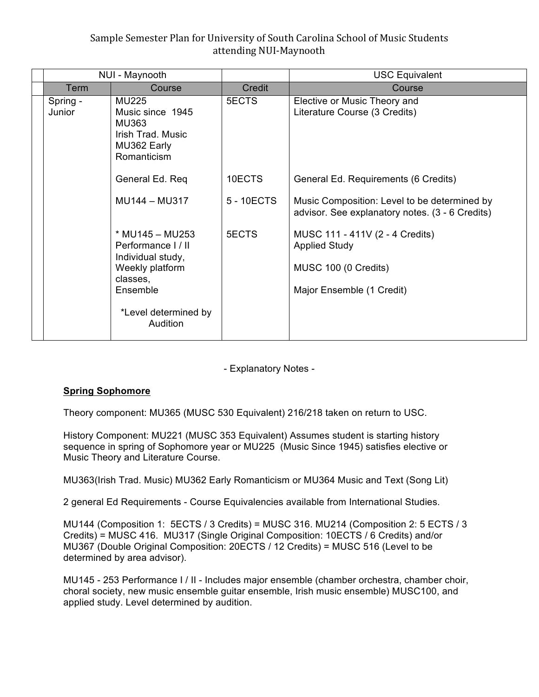# Sample Semester Plan for University of South Carolina School of Music Students attending NUI-Maynooth

| NUI - Maynooth     |                                                                                                       |            | <b>USC Equivalent</b>                                                                                        |
|--------------------|-------------------------------------------------------------------------------------------------------|------------|--------------------------------------------------------------------------------------------------------------|
| Term               | Course                                                                                                | Credit     | Course                                                                                                       |
| Spring -<br>Junior | <b>MU225</b><br>Music since 1945<br><b>MU363</b><br>Irish Trad. Music<br>MU362 Early<br>Romanticism   | 5ECTS      | Elective or Music Theory and<br>Literature Course (3 Credits)                                                |
|                    | General Ed. Req                                                                                       | 10ECTS     | General Ed. Requirements (6 Credits)                                                                         |
|                    | MU144 - MU317                                                                                         | 5 - 10ECTS | Music Composition: Level to be determined by<br>advisor. See explanatory notes. (3 - 6 Credits)              |
|                    | * MU145 - MU253<br>Performance I / II<br>Individual study,<br>Weekly platform<br>classes,<br>Ensemble | 5ECTS      | MUSC 111 - 411V (2 - 4 Credits)<br><b>Applied Study</b><br>MUSC 100 (0 Credits)<br>Major Ensemble (1 Credit) |
|                    | *Level determined by<br>Audition                                                                      |            |                                                                                                              |

- Explanatory Notes -

### **Spring Sophomore**

Theory component: MU365 (MUSC 530 Equivalent) 216/218 taken on return to USC.

History Component: MU221 (MUSC 353 Equivalent) Assumes student is starting history sequence in spring of Sophomore year or MU225 (Music Since 1945) satisfies elective or Music Theory and Literature Course.

MU363(Irish Trad. Music) MU362 Early Romanticism or MU364 Music and Text (Song Lit)

2 general Ed Requirements - Course Equivalencies available from International Studies.

MU144 (Composition 1: 5ECTS / 3 Credits) = MUSC 316. MU214 (Composition 2: 5 ECTS / 3 Credits) = MUSC 416. MU317 (Single Original Composition: 10ECTS / 6 Credits) and/or MU367 (Double Original Composition: 20ECTS / 12 Credits) = MUSC 516 (Level to be determined by area advisor).

MU145 - 253 Performance I / II - Includes major ensemble (chamber orchestra, chamber choir, choral society, new music ensemble guitar ensemble, Irish music ensemble) MUSC100, and applied study. Level determined by audition.